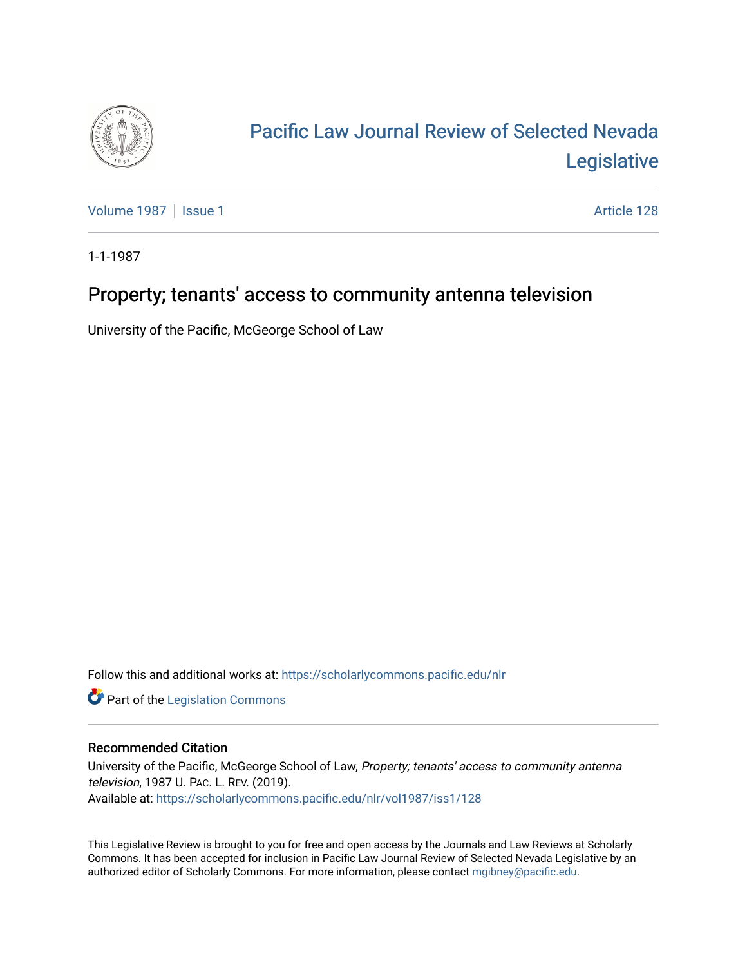

# [Pacific Law Journal Review of Selected Nevada](https://scholarlycommons.pacific.edu/nlr)  [Legislative](https://scholarlycommons.pacific.edu/nlr)

[Volume 1987](https://scholarlycommons.pacific.edu/nlr/vol1987) | [Issue 1](https://scholarlycommons.pacific.edu/nlr/vol1987/iss1) Article 128

1-1-1987

## Property; tenants' access to community antenna television

University of the Pacific, McGeorge School of Law

Follow this and additional works at: [https://scholarlycommons.pacific.edu/nlr](https://scholarlycommons.pacific.edu/nlr?utm_source=scholarlycommons.pacific.edu%2Fnlr%2Fvol1987%2Fiss1%2F128&utm_medium=PDF&utm_campaign=PDFCoverPages) 

**Part of the [Legislation Commons](http://network.bepress.com/hgg/discipline/859?utm_source=scholarlycommons.pacific.edu%2Fnlr%2Fvol1987%2Fiss1%2F128&utm_medium=PDF&utm_campaign=PDFCoverPages)** 

### Recommended Citation

University of the Pacific, McGeorge School of Law, Property; tenants' access to community antenna television, 1987 U. PAC. L. REV. (2019). Available at: [https://scholarlycommons.pacific.edu/nlr/vol1987/iss1/128](https://scholarlycommons.pacific.edu/nlr/vol1987/iss1/128?utm_source=scholarlycommons.pacific.edu%2Fnlr%2Fvol1987%2Fiss1%2F128&utm_medium=PDF&utm_campaign=PDFCoverPages) 

This Legislative Review is brought to you for free and open access by the Journals and Law Reviews at Scholarly Commons. It has been accepted for inclusion in Pacific Law Journal Review of Selected Nevada Legislative by an authorized editor of Scholarly Commons. For more information, please contact [mgibney@pacific.edu](mailto:mgibney@pacific.edu).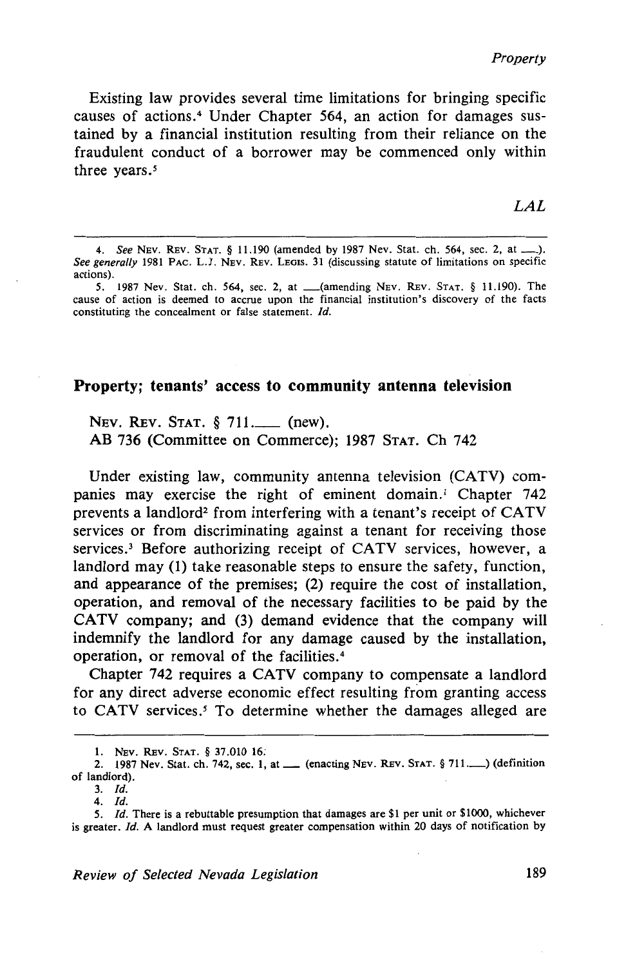*Property* 

Existing law provides several time limitations for bringing specific causes of actions.<sup>4</sup> Under Chapter 564, an action for damages sustained by a financial institution resulting from their reliance on the fraudulent conduct of a borrower may be commenced only within three years.<sup>5</sup>

#### **Property; tenants'** access **to community antenna television**

NEV. REV. STAT. § 711.\_\_\_\_ (new). AB 736 (Committee on Commerce); 1987 STAT. Ch 742

Under existing law, community antenna television (CATV) companies may exercise the right of eminent domain.<sup>1</sup> Chapter 742 prevents a landlord<sup>2</sup> from interfering with a tenant's receipt of  $CATV$ services or from discriminating against a tenant for receiving those services.<sup>3</sup> Before authorizing receipt of CATV services, however, a landlord may (1) take reasonable steps to ensure the safety, function, and appearance of the premises; (2) require the cost of installation, operation, and removal of the necessary facilities to be paid by the CATV company; and (3) demand evidence that the company will indemnify the landlord for any damage caused by the installation, operation, or removal of the facilities. 4

Chapter 742 requires a CATV company to compensate a landlord for any direct adverse economic effect resulting from granting access to CATV services.<sup>5</sup> To determine whether the damages alleged are

<sup>4.</sup> *See* NEv. REv. STAT. § 11.190 (amended by 1987 Nev. Stat. ch. 564, sec. 2, at\_). *See generally* 1981 PAC. L.J. NEv. REv. LEGIS. 31 (discussing statute of limitations on specific actions).

*<sup>5.</sup>* 1987 Nev. Stat. ch. 564, sec. 2, at \_(amending NEv. REv. STAT. § 11.190). The cause of action is deemed to accrue upon the financial institution's discovery of the facts constituting the concealment or false statement. Id.

I. NEv. REv. STAT. § 37.010 16:

<sup>2. 1987</sup> Nev. Stat. ch. 742, sec. 1, at  $\equiv$  (enacting NEV. REV. STAT. § 711. $\equiv$ ) (definition of landlord).

<sup>3.</sup> /d.

<sup>4.</sup> /d.

<sup>5.</sup> *Id.* There is a rebuttable presumption that damages are \$1 per unit or \$1000, whichever is greater. Id. A landlord must request greater compensation within 20 days of notification by